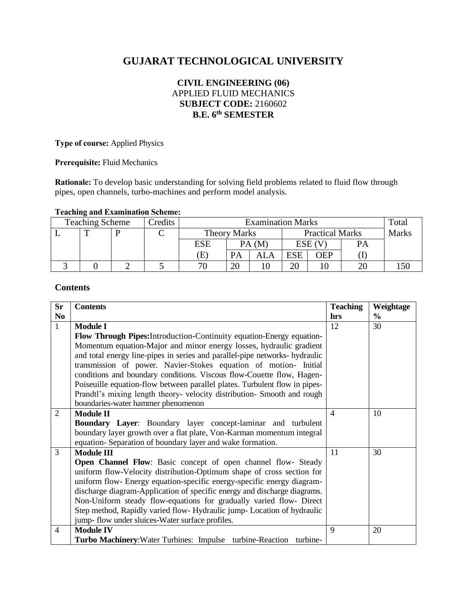# **GUJARAT TECHNOLOGICAL UNIVERSITY**

# **CIVIL ENGINEERING (06)** APPLIED FLUID MECHANICS **SUBJECT CODE:** 2160602 **B.E. 6 th SEMESTER**

**Type of course:** Applied Physics

**Prerequisite:** Fluid Mechanics

**Rationale:** To develop basic understanding for solving field problems related to fluid flow through pipes, open channels, turbo-machines and perform model analysis.

# **Teaching and Examination Scheme:**

| <b>Teaching Scheme</b> |  |  | Credits | <b>Examination Marks</b>   |           |                        |            | Total      |              |  |
|------------------------|--|--|---------|----------------------------|-----------|------------------------|------------|------------|--------------|--|
|                        |  |  |         | <b>Theory Marks</b>        |           | <b>Practical Marks</b> |            |            | <b>Marks</b> |  |
|                        |  |  |         | ESE                        |           | PA (M                  | ESE (      |            | <b>PA</b>    |  |
|                        |  |  |         | $\left( \mathrm{E}\right)$ | <b>PA</b> | ALA                    | <b>ESE</b> | <b>OEP</b> |              |  |
|                        |  |  |         | 70                         |           |                        |            |            |              |  |

## **Contents**

| <b>Sr</b>      | <b>Contents</b>                                                                                                                                                                                                                                                                                                                                                                                                                                                                                                                                                         | <b>Teaching</b> | Weightage     |
|----------------|-------------------------------------------------------------------------------------------------------------------------------------------------------------------------------------------------------------------------------------------------------------------------------------------------------------------------------------------------------------------------------------------------------------------------------------------------------------------------------------------------------------------------------------------------------------------------|-----------------|---------------|
| N <sub>0</sub> |                                                                                                                                                                                                                                                                                                                                                                                                                                                                                                                                                                         | hrs             | $\frac{0}{0}$ |
| $\mathbf{1}$   | <b>Module I</b>                                                                                                                                                                                                                                                                                                                                                                                                                                                                                                                                                         | 12              | 30            |
|                | Flow Through Pipes: Introduction-Continuity equation-Energy equation-<br>Momentum equation-Major and minor energy losses, hydraulic gradient<br>and total energy line-pipes in series and parallel-pipe networks- hydraulic<br>transmission of power. Navier-Stokes equation of motion- Initial<br>conditions and boundary conditions. Viscous flow-Couette flow, Hagen-<br>Poiseuille equation-flow between parallel plates. Turbulent flow in pipes-<br>Prandtl's mixing length theory- velocity distribution- Smooth and rough<br>boundaries-water hammer phenomenon |                 |               |
| $\overline{2}$ | <b>Module II</b>                                                                                                                                                                                                                                                                                                                                                                                                                                                                                                                                                        | $\overline{4}$  | 10            |
|                | Boundary Layer: Boundary layer concept-laminar and turbulent<br>boundary layer growth over a flat plate, Von-Karman momentum integral<br>equation-Separation of boundary layer and wake formation.                                                                                                                                                                                                                                                                                                                                                                      |                 |               |
| $\overline{3}$ | <b>Module III</b>                                                                                                                                                                                                                                                                                                                                                                                                                                                                                                                                                       | 11              | 30            |
|                | Open Channel Flow: Basic concept of open channel flow- Steady<br>uniform flow-Velocity distribution-Optimum shape of cross section for<br>uniform flow- Energy equation-specific energy-specific energy diagram-<br>discharge diagram-Application of specific energy and discharge diagrams.<br>Non-Uniform steady flow-equations for gradually varied flow- Direct<br>Step method, Rapidly varied flow-Hydraulic jump-Location of hydraulic<br>jump- flow under sluices-Water surface profiles.                                                                        |                 |               |
| $\overline{4}$ | <b>Module IV</b>                                                                                                                                                                                                                                                                                                                                                                                                                                                                                                                                                        | 9               | 20            |
|                | Turbo Machinery: Water Turbines: Impulse turbine-Reaction turbine-                                                                                                                                                                                                                                                                                                                                                                                                                                                                                                      |                 |               |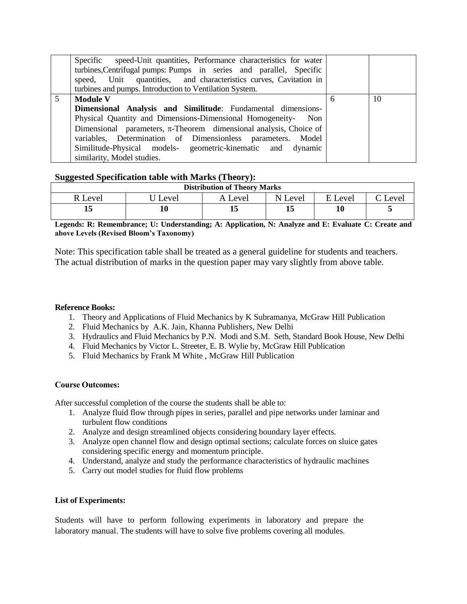|   | Specific speed-Unit quantities, Performance characteristics for water<br>turbines, Centrifugal pumps: Pumps in series and parallel, Specific<br>speed, Unit quantities, and characteristics curves, Cavitation in<br>turbines and pumps. Introduction to Ventilation System. |   |    |
|---|------------------------------------------------------------------------------------------------------------------------------------------------------------------------------------------------------------------------------------------------------------------------------|---|----|
| 5 | <b>Module V</b>                                                                                                                                                                                                                                                              | 6 | 10 |
|   | Dimensional Analysis and Similitude: Fundamental dimensions-                                                                                                                                                                                                                 |   |    |
|   | Physical Quantity and Dimensions-Dimensional Homogeneity- Non                                                                                                                                                                                                                |   |    |
|   | Dimensional parameters, $\pi$ -Theorem dimensional analysis, Choice of                                                                                                                                                                                                       |   |    |
|   | variables, Determination of Dimensionless parameters. Model                                                                                                                                                                                                                  |   |    |
|   | Similitude-Physical models- geometric-kinematic and dynamic                                                                                                                                                                                                                  |   |    |
|   | similarity, Model studies.                                                                                                                                                                                                                                                   |   |    |

#### **Suggested Specification table with Marks (Theory):**

| <b>Distribution of Theory Marks</b> |      |       |         |         |         |  |  |
|-------------------------------------|------|-------|---------|---------|---------|--|--|
| R Level                             | evel | Level | N Level | E Level | C Level |  |  |
|                                     |      |       |         | 10      |         |  |  |

**Legends: R: Remembrance; U: Understanding; A: Application, N: Analyze and E: Evaluate C: Create and above Levels (Revised Bloom's Taxonomy)**

Note: This specification table shall be treated as a general guideline for students and teachers. The actual distribution of marks in the question paper may vary slightly from above table.

#### **Reference Books:**

- 1. Theory and Applications of Fluid Mechanics by K Subramanya, McGraw Hill Publication
- 2. Fluid Mechanics by A.K. Jain, Khanna Publishers, New Delhi
- 3. Hydraulics and Fluid Mechanics by P.N. Modi and S.M. Seth, Standard Book House, New Delhi
- 4. Fluid Mechanics by Victor L. Streeter, E. B. Wylie by, McGraw Hill Publication
- 5. Fluid Mechanics by Frank M White , McGraw Hill Publication

#### **Course Outcomes:**

After successful completion of the course the students shall be able to:

- 1. Analyze fluid flow through pipes in series, parallel and pipe networks under laminar and turbulent flow conditions
- 2. Analyze and design streamlined objects considering boundary layer effects.
- 3. Analyze open channel flow and design optimal sections; calculate forces on sluice gates considering specific energy and momentum principle.
- 4. Understand, analyze and study the performance characteristics of hydraulic machines
- 5. Carry out model studies for fluid flow problems

#### **List of Experiments:**

Students will have to perform following experiments in laboratory and prepare the laboratory manual. The students will have to solve five problems covering all modules.